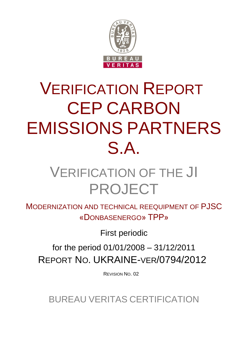

# VERIFICATION REPORT CEP CARBON EMISSIONS PARTNERS S.A.

## VERIFICATION OF THE JI PROJECT

MODERNIZATION AND TECHNICAL REEQUIPMENT OF PJSC «DONBASENERGO» TPP»

First periodic

for the period 01/01/2008 – 31/12/2011 REPORT NO. UKRAINE-VER/0794/2012

REVISION NO. 02

BUREAU VERITAS CERTIFICATION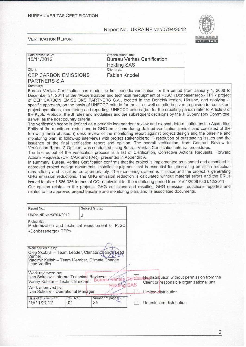

| Date of first issue:<br>15/11/2012                                                                                                                                                                                                                                                                                                                                                                                                                                                                                                                                                                                                                                                                                                                                                                                                                                                                                                                                                                                                                                                                                                                                                                                                                                                                                                                                                                                                                                                                                                                                                                                                                                                                                                                                                                                                                                                                                                                                                                                                                                                                                                                                                                                                                                                                                                                                                          | Organizational unit:               | <b>Bureau Veritas Certification</b>                                                             |  |  |
|---------------------------------------------------------------------------------------------------------------------------------------------------------------------------------------------------------------------------------------------------------------------------------------------------------------------------------------------------------------------------------------------------------------------------------------------------------------------------------------------------------------------------------------------------------------------------------------------------------------------------------------------------------------------------------------------------------------------------------------------------------------------------------------------------------------------------------------------------------------------------------------------------------------------------------------------------------------------------------------------------------------------------------------------------------------------------------------------------------------------------------------------------------------------------------------------------------------------------------------------------------------------------------------------------------------------------------------------------------------------------------------------------------------------------------------------------------------------------------------------------------------------------------------------------------------------------------------------------------------------------------------------------------------------------------------------------------------------------------------------------------------------------------------------------------------------------------------------------------------------------------------------------------------------------------------------------------------------------------------------------------------------------------------------------------------------------------------------------------------------------------------------------------------------------------------------------------------------------------------------------------------------------------------------------------------------------------------------------------------------------------------------|------------------------------------|-------------------------------------------------------------------------------------------------|--|--|
| Client:                                                                                                                                                                                                                                                                                                                                                                                                                                                                                                                                                                                                                                                                                                                                                                                                                                                                                                                                                                                                                                                                                                                                                                                                                                                                                                                                                                                                                                                                                                                                                                                                                                                                                                                                                                                                                                                                                                                                                                                                                                                                                                                                                                                                                                                                                                                                                                                     | <b>Holding SAS</b><br>Client ref.: |                                                                                                 |  |  |
| <b>CEP CARBON EMISSIONS</b><br>PARTNERS S.A.                                                                                                                                                                                                                                                                                                                                                                                                                                                                                                                                                                                                                                                                                                                                                                                                                                                                                                                                                                                                                                                                                                                                                                                                                                                                                                                                                                                                                                                                                                                                                                                                                                                                                                                                                                                                                                                                                                                                                                                                                                                                                                                                                                                                                                                                                                                                                | <b>Fabian Knodel</b>               |                                                                                                 |  |  |
| Summary:                                                                                                                                                                                                                                                                                                                                                                                                                                                                                                                                                                                                                                                                                                                                                                                                                                                                                                                                                                                                                                                                                                                                                                                                                                                                                                                                                                                                                                                                                                                                                                                                                                                                                                                                                                                                                                                                                                                                                                                                                                                                                                                                                                                                                                                                                                                                                                                    |                                    |                                                                                                 |  |  |
| Bureau Veritas Certification has made the first periodic verification for the period from January 1, 2008 to<br>December 31, 2011 of the "Modernization and technical reequipment of PJSC «Donbasenergo» TPP» project<br>of CEP CARBON EMISSIONS PARTNERS S.A., located in the Donetsk region, Ukraine, and applying JI<br>specific approach, on the basis of UNFCCC criteria for the JI, as well as criteria given to provide for consistent<br>project operations, monitoring and reporting. UNFCCC criteria (but for the crediting period) refer to Article 6 of<br>the Kyoto Protocol, the JI rules and modalities and the subsequent decisions by the JI Supervisory Committee,<br>as well as the host country criteria.<br>The verification scope is defined as a periodic independent review and ex post determination by the Accredited<br>Entity of the monitored reductions in GHG emissions during defined verification period, and consisted of the<br>following three phases: i) desk review of the monitoring report against project design and the baseline and<br>monitoring plan; ii) follow-up interviews with project stakeholders; iii) resolution of outstanding issues and the<br>issuance of the final verification report and opinion. The overall verification, from Contract Review to<br>Verification Report & Opinion, was conducted using Bureau Veritas Certification internal procedures.<br>The first output of the verification process is a list of Clarification, Corrective Actions Requests, Forward<br>Actions Requests (CR, CAR and FAR), presented in Appendix A.<br>In summary, Bureau Veritas Certification confirms that the project is implemented as planned and described in<br>approved project design documents. Installed equipment that is essential for generating emission reduction<br>runs reliably and is calibrated appropriately. The monitoring system is in place and the project is generating<br>GHG emission reductions. The GHG emission reduction is calculated without material errors and the ERUs<br>issued totalize 1 886 036 tonnes of CO2 equivalent for the monitoring period from 01/01/2008 to 31/12/2011.<br>Our opinion relates to the project's GHG emissions and resulting GHG emission reductions reported and<br>related to the approved project baseline and monitoring plan, and its associated documents. |                                    |                                                                                                 |  |  |
| Report No.:                                                                                                                                                                                                                                                                                                                                                                                                                                                                                                                                                                                                                                                                                                                                                                                                                                                                                                                                                                                                                                                                                                                                                                                                                                                                                                                                                                                                                                                                                                                                                                                                                                                                                                                                                                                                                                                                                                                                                                                                                                                                                                                                                                                                                                                                                                                                                                                 | Subject Group:                     |                                                                                                 |  |  |
| UKRAINE-ver/0794/2012                                                                                                                                                                                                                                                                                                                                                                                                                                                                                                                                                                                                                                                                                                                                                                                                                                                                                                                                                                                                                                                                                                                                                                                                                                                                                                                                                                                                                                                                                                                                                                                                                                                                                                                                                                                                                                                                                                                                                                                                                                                                                                                                                                                                                                                                                                                                                                       | JI                                 |                                                                                                 |  |  |
| Project title:<br>Modernization and technical reequipment of PJSC<br>«Donbasenergo» TPP»                                                                                                                                                                                                                                                                                                                                                                                                                                                                                                                                                                                                                                                                                                                                                                                                                                                                                                                                                                                                                                                                                                                                                                                                                                                                                                                                                                                                                                                                                                                                                                                                                                                                                                                                                                                                                                                                                                                                                                                                                                                                                                                                                                                                                                                                                                    |                                    |                                                                                                 |  |  |
| Work carried out by:<br>Oleg Skoblyk - Team Leader, Climate Changel Lead<br>Verifier<br>Vladimir Kulish - Team Member, Climate Change<br><b>Lead Verifier</b>                                                                                                                                                                                                                                                                                                                                                                                                                                                                                                                                                                                                                                                                                                                                                                                                                                                                                                                                                                                                                                                                                                                                                                                                                                                                                                                                                                                                                                                                                                                                                                                                                                                                                                                                                                                                                                                                                                                                                                                                                                                                                                                                                                                                                               |                                    |                                                                                                 |  |  |
| Work reviewed by:<br>Ivan Sokolov - Internal Technical Reviewer<br>Vasiliy Kobzar - Technical expert                                                                                                                                                                                                                                                                                                                                                                                                                                                                                                                                                                                                                                                                                                                                                                                                                                                                                                                                                                                                                                                                                                                                                                                                                                                                                                                                                                                                                                                                                                                                                                                                                                                                                                                                                                                                                                                                                                                                                                                                                                                                                                                                                                                                                                                                                        |                                    | No distribution without permission from the<br>Client or responsible organizational unit<br>SAS |  |  |
| Work approved by:<br>Ivan Sokolov - Operational Manager                                                                                                                                                                                                                                                                                                                                                                                                                                                                                                                                                                                                                                                                                                                                                                                                                                                                                                                                                                                                                                                                                                                                                                                                                                                                                                                                                                                                                                                                                                                                                                                                                                                                                                                                                                                                                                                                                                                                                                                                                                                                                                                                                                                                                                                                                                                                     |                                    | Limited distribution                                                                            |  |  |
| Date of this revision:<br>Rev. No.:<br>02<br>19/11/2012                                                                                                                                                                                                                                                                                                                                                                                                                                                                                                                                                                                                                                                                                                                                                                                                                                                                                                                                                                                                                                                                                                                                                                                                                                                                                                                                                                                                                                                                                                                                                                                                                                                                                                                                                                                                                                                                                                                                                                                                                                                                                                                                                                                                                                                                                                                                     | Number of pages<br>25              | Unrestricted distribution                                                                       |  |  |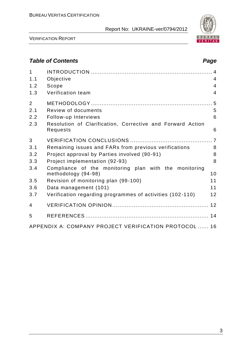

VERIFICATION REPORT

## *Table of Contents Page*

| $\mathbf{1}$<br>1.1 | Objective                                                                    | $\overline{4}$ |
|---------------------|------------------------------------------------------------------------------|----------------|
| 1.2                 | Scope                                                                        | $\overline{4}$ |
| 1.3                 | Verification team                                                            | $\overline{4}$ |
|                     |                                                                              |                |
| 2                   |                                                                              |                |
| 2.1                 | Review of documents                                                          | 5              |
| 2.2                 | Follow-up Interviews                                                         | 6              |
| 2.3                 | Resolution of Clarification, Corrective and Forward Action<br>Requests       | 6              |
| 3                   |                                                                              |                |
| 3.1                 | Remaining issues and FARs from previous verifications                        | 8              |
| 3.2                 | Project approval by Parties involved (90-91)                                 | 8              |
| 3.3                 | Project implementation (92-93)                                               | 8              |
| 3.4                 | Compliance of the monitoring plan with the monitoring<br>methodology (94-98) | 10             |
| 3.5                 | Revision of monitoring plan (99-100)                                         | 11             |
| 3.6                 | Data management (101)                                                        | 11             |
| 3.7                 | Verification regarding programmes of activities (102-110)                    | 12             |
| 4                   |                                                                              |                |
| 5                   |                                                                              |                |
|                     | APPENDIX A: COMPANY PROJECT VERIFICATION PROTOCOL  16                        |                |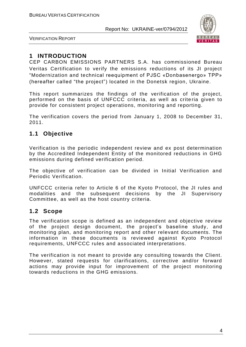

VERIFICATION REPORT

## **1 INTRODUCTION**

CEP CARBON EMISSIONS PARTNERS S.A. has commissioned Bureau Veritas Certification to verify the emissions reductions of its JI project "Modernization and technical reequipment of PJSC «Donbasenergo» TPP» (hereafter called "the project") located in the Donetsk region, Ukraine.

This report summarizes the findings of the verification of the project, performed on the basis of UNFCCC criteria, as well as crite ria given to provide for consistent project operations, monitoring and reporting.

The verification covers the period from January 1, 2008 to December 31, 2011.

## **1.1 Objective**

Verification is the periodic independent review and ex post determination by the Accredited Independent Entity of the monitored reductions in GHG emissions during defined verification period.

The objective of verification can be divided in Initial Verification and Periodic Verification.

UNFCCC criteria refer to Article 6 of the Kyoto Protocol, the JI rules and modalities and the subsequent decisions by the JI Supervisory Committee, as well as the host country criteria.

## **1.2 Scope**

The verification scope is defined as an independent and objective review of the project design document, the project's baseline study, and monitoring plan, and monitoring report and other relevant documents. The information in these documents is reviewed against Kyoto Protocol requirements, UNFCCC rules and associated interpretations.

The verification is not meant to provide any consulting towards the Client. However, stated requests for clarifications, corrective and/or forward actions may provide input for improvement of the project monitoring towards reductions in the GHG emissions.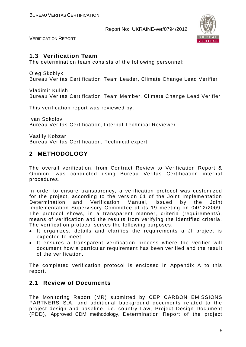

VERIFICATION REPORT

## **1.3 Verification Team**

The determination team consists of the following personnel:

Oleg Skoblyk Bureau Veritas Certification Team Leader, Climate Change Lead Verifier

Vladimir Kulish Bureau Veritas Certification Team Member, Climate Change Lead Verifier

This verification report was reviewed by:

Ivan Sokolov Bureau Veritas Certification, Internal Technical Reviewer

Vasiliy Kobzar Bureau Veritas Certification, Technical expert

## **2 METHODOLOGY**

The overall verification, from Contract Review to Verification Report & Opinion, was conducted using Bureau Veritas Certification internal procedures.

In order to ensure transparency, a verification protocol was customized for the project, according to the version 01 of the Joint Implementation Determination and Verification Manual, issued by the Joint Implementation Supervisory Committee at its 19 meeting on 04/12/2009. The protocol shows, in a transparent manner, criteria (requirements), means of verification and the results from verifying the identified criteria. The verification protocol serves the following purposes:

- It organizes, details and clarifies the requirements a JI project is expected to meet;
- It ensures a transparent verification process where the verifier will document how a particular requirement has been verified and the resu lt of the verification.

The completed verification protocol is enclosed in Appendix A to this report.

## **2.1 Review of Documents**

The Monitoring Report (MR) submitted by CEP CARBON EMISSIONS PARTNERS S.A. and additional background documents related to the project design and baseline, i.e. country Law, Project Design Document (PDD), Approved CDM methodology, Determination Report of the project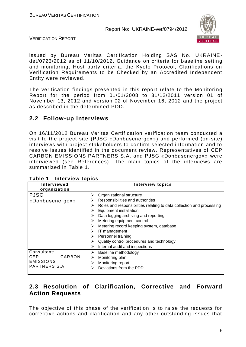

VERIFICATION REPORT

issued by Bureau Veritas Certification Holding SAS No. UKRAINEdet/0723/2012 as of 11/10/2012, Guidance on criteria for baseline setting and monitoring, Host party criteria, the Kyoto Protocol, Clarifications on Verification Requirements to be Checked by an Accredited Independent Entity were reviewed.

The verification findings presented in this report relate to the Monitoring Report for the period from 01/01/2008 to 31/12/2011 version 01 of November 13, 2012 and version 02 of November 16, 2012 and the project as described in the determined PDD.

## **2.2 Follow-up Interviews**

On 16/11/2012 Bureau Veritas Certification verification team conducted a visit to the project site (PJSC «Donbasenergo»») and performed (on-site) interviews with project stakeholders to confirm selected information and to resolve issues identified in the document review. Representatives of CEP CARBON EMISSIONS PARTNERS S.A. and PJSC «Donbasenergo»» were interviewed (see References). The main topics of the interviews are summarized in Table 1.

| Interviewed<br>organization                                       | <b>Interview topics</b>                                                                                                                                                                                                                                                                                                                                                                                                                                   |
|-------------------------------------------------------------------|-----------------------------------------------------------------------------------------------------------------------------------------------------------------------------------------------------------------------------------------------------------------------------------------------------------------------------------------------------------------------------------------------------------------------------------------------------------|
| <b>PJSC</b><br>«Donbasenergo»»                                    | Organizational structure<br>⋗<br>Responsibilities and authorities<br>Roles and responsibilities relating to data collection and processing<br>➤<br>Equipment installation<br>⋗<br>Data logging archiving and reporting<br>⋗<br>Metering equipment control<br>⋗<br>Metering record keeping system, database<br>⋗<br>IT management<br>⋗<br>Personnel training<br>⋗<br>Quality control procedures and technology<br>⋗<br>Internal audit and inspections<br>⋗ |
| Consultant:<br>CARBON<br>CEP<br><b>EMISSIONS</b><br>PARTNERS S.A. | Baseline methodology<br>⋗<br>Monitoring plan<br>⋗<br>Monitoring report<br>⋗<br>Deviations from the PDD<br>⋗                                                                                                                                                                                                                                                                                                                                               |

| Table 1 Interview topics |  |  |  |
|--------------------------|--|--|--|
|--------------------------|--|--|--|

## **2.3 Resolution of Clarification, Corrective and Forward Action Requests**

The objective of this phase of the verification is to raise the requests for corrective actions and clarification and any other outstanding issues that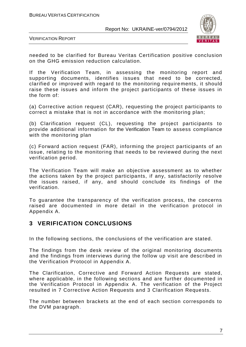

VERIFICATION REPORT

needed to be clarified for Bureau Veritas Certification positive conclusion on the GHG emission reduction calculation.

If the Verification Team, in assessing the monitoring report and supporting documents, identifies issues that need to be corrected, clarified or improved with regard to the monitoring require ments, it should raise these issues and inform the project participants of these issues in the form of:

(a) Corrective action request (CAR), requesting the project participants to correct a mistake that is not in accordance with the monitoring plan;

(b) Clarification request (CL), requesting the project participants to provide additional information for the Verification Team to assess compliance with the monitoring plan

(c) Forward action request (FAR), informing the project participants of an issue, relating to the monitoring that needs to be reviewed during the next verification period.

The Verification Team will make an objective assessment as to whether the actions taken by the project participants, if any, satisfactorily resolve the issues raised, if any, and should conclude its findings of the verification.

To guarantee the transparency of the verification process, the concerns raised are documented in more detail in the verification protocol in Appendix A.

## **3 VERIFICATION CONCLUSIONS**

In the following sections, the conclusions of the verification are stated.

The findings from the desk review of the original monitoring documents and the findings from interviews during the follow up visit are described in the Verification Protocol in Appendix A.

The Clarification, Corrective and Forward Action Requests are stated, where applicable, in the following sections and are further documented in the Verification Protocol in Appendix A. The verification of the Project resulted in 7 Corrective Action Requests and 3 Clarification Requests.

The number between brackets at the end of each section corresponds to the DVM paragraph.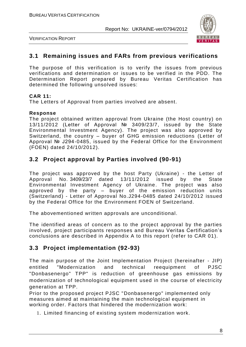

VERIFICATION REPORT

#### **3.1 Remaining issues and FARs from previous verifications**

The purpose of this verification is to verify the issues from previous verifications and determination or issues to be verified in the PDD. The Determination Report prepared by Bureau Veritas Certification has determined the following unsolved issues:

#### **CAR 11:**

The Letters of Approval from parties involved are absent.

#### **Response**

The project obtained written approval from Ukraine (the Host country) on 13/11/2012 (Letter of Approval № 3409/23/7, issued by the State Environmental Investment Agency). The project was also approved by Switzerland, the country – buyer of GHG emission reductions (Letter of Approval № J294-0485, issued by the Federal Office for the Environment (FOEN) dated 24/10/2012).

## **3.2 Project approval by Parties involved (90-91)**

The project was approved by the host Party (Ukraine) - the Letter of Approval No. 3409/23/7 dated 13/11/2012 issued by the State Environmental Investment Agency of Ukraine. The project was also approved by the party – buyer of the emission reduction units (Switzerland) - Letter of Approval No.J294-0485 dated 24/10/2012 issued by the Federal Office for the Environment FOEN of Switzerland.

The abovementioned written approvals are unconditional.

The identified areas of concern as to the project approval by the parties involved, project participants responses and Bureau Veritas Certification's conclusions are described in Appendix A to this report (refer to CAR 01).

## **3.3 Project implementation (92-93)**

The main purpose of the Joint Implementation Project (hereinafter - JIP) entitled "Modernization and technical reequipment of PJSC "Donbasenergo" TPP" is reduction of greenhouse gas emissions by modernization of technological equipment used in the course of electricity generation at TPP.

Prior to the proposed project PJSC "Donbasenergo" implemented only measures aimed at maintaining the main technological equipment in working order. Factors that hindered the modernization work:

1. Limited financing of existing system modernization work.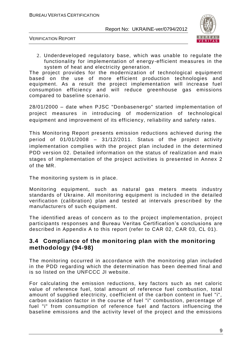

VERIFICATION REPORT

2. Underdeveloped regulatory base, which was unable to regulate the functionality for implementation of energy -efficient measures in the system of heat and electricity generation.

The project provides for the modernization of technological equipment based on the use of more efficient production technologies and equipment. As a result the project implementation will increase fuel consumption efficiency and will reduce greenhouse gas emissions compared to baseline scenario.

28/01/2000 – date when PJSC "Donbasenergo" started implementation of project measures in introducing of modernization of technological equipment and improvement of its efficiency, reliability and safety rates.

This Monitoring Report presents emission reductions achieved during the period of 01/01/2008 – 31/12/2011. Status of the project activity implementation complies with the project plan included in the determined PDD version 02. Detailed information on the status of realization and main stages of implementation of the project activities is presented in Annex 2 of the MR.

The monitoring system is in place.

Monitoring equipment, such as natural gas meters meets industry standards of Ukraine. All monitoring equipment is included in the detailed verification (calibration) plan and tested at intervals prescribed by the manufacturers of such equipment.

The identified areas of concern as to the project implementation, project participants responses and Bureau Veritas Certification's conclusions are described in Appendix A to this report (refer to CAR 02, CAR 03, CL 01).

## **3.4 Compliance of the monitoring plan with the monitoring methodology (94-98)**

The monitoring occurred in accordance with the monitoring plan included in the PDD regarding which the determination has been deemed final and is so listed on the UNFCCC JI website.

For calculating the emission reductions, key factors such as net caloric value of reference fuel, total amount of reference fuel combustion, total amount of supplied electricity, coefficient of the carbon content in fuel "i", carbon oxidation factor in the course of fuel "i" combustion, percentage of fuel "i" from consumption of reference fuel and factors influencing the baseline emissions and the activity level of the project and the emissions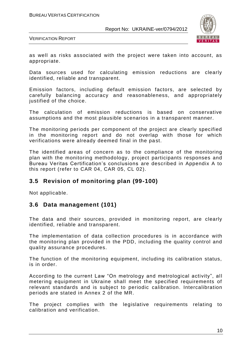

VERIFICATION REPORT

as well as risks associated with the project were taken into account, as appropriate.

Data sources used for calculating emission reductions are clearly identified, reliable and transparent.

Emission factors, including default emission factors, are selected by carefully balancing accuracy and reasonableness, and appropriately justified of the choice.

The calculation of emission reductions is based on conservative assumptions and the most plausible scenarios in a transparent manner.

The monitoring periods per component of the project are clearly specified in the monitoring report and do not overlap with those for which verifications were already deemed final in the past.

The identified areas of concern as to the compliance of the monitoring plan with the monitoring methodology, project participants responses and Bureau Veritas Certification's conclusions are described in Appendix A to this report (refer to CAR 04, CAR 05, CL 02).

## **3.5 Revision of monitoring plan (99-100)**

Not applicable.

## **3.6 Data management (101)**

The data and their sources, provided in monitoring report, are clearly identified, reliable and transparent.

The implementation of data collection procedures is in accordance with the monitoring plan provided in the PDD, including the quality control and quality assurance procedures.

The function of the monitoring equipment, including its calibration status, is in order.

According to the current Law "On metrology and metrological activity", all metering equipment in Ukraine shall meet the specified requirements of relevant standards and is subject to periodic calibration. Intercalibration periods are stated in Annex 2 of the MR.

The project complies with the legislative requirements relating to calibration and verification.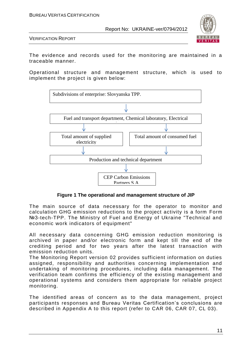

VERIFICATION REPORT

The evidence and records used for the monitoring are maintained in a traceable manner.

Operational structure and management structure, which is used to implement the project is given below:



**Figure 1 The operational and management structure of JIP**

The main source of data necessary for the operator to monitor and calculation GHG emission reductions to the project activity is a form Form №3-tech-TPP. The Ministry of Fuel and Energy of Ukraine "Technical and economic work indicators of equipment"

All necessary data concerning GHG emission reduction monitoring is archived in paper and/or electronic form and kept till the end of the crediting period and for two years after the latest transaction with emission reduction units.

The Monitoring Report version 02 provides sufficient information on duties assigned, responsibility and authorities concerning implementation and undertaking of monitoring procedures, including data management. The verification team confirms the efficiency of the existing management and operational systems and considers them appropriate for reliable project monitoring.

The identified areas of concern as to the data management, project participants responses and Bureau Veritas Certification's conclusions are described in Appendix A to this report (refer to CAR 06, CAR 07, CL 03).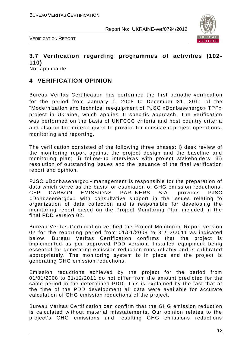



## **3.7 Verification regarding programmes of activities (102- 110)**

Not applicable.

## **4 VERIFICATION OPINION**

Bureau Veritas Certification has performed the first periodic verification for the period from January 1, 2008 to December 31, 2011 of the "Modernization and technical reequipment of PJSC «Donbasenergo» TPP» project in Ukraine, which applies JI specific approach. The verification was performed on the basis of UNFCCC criteria and host country criteria and also on the criteria given to provide for consistent project operations, monitoring and reporting.

The verification consisted of the following three phases: i) desk review of the monitoring report against the project design and the baseline and monitoring plan; ii) follow-up interviews with project stakeholders; iii) resolution of outstanding issues and the issuance of the final verification report and opinion.

PJSC «Donbasenergo»» management is responsible for the preparation of data which serve as the basis for estimation of GHG emission reductions. CEP CARBON EMISSIONS PARTNERS S.A. provides PJSC «Donbasenergo»» with consultative support in the issues relating to organization of data collection and is responsible for developing the monitoring report based on the Project Monitoring Plan included in the final PDD version 02.

Bureau Veritas Certification verified the Project Monitoring Report ver sion 02 for the reporting period from 01/01/2008 to 31/12/2011 as indicated below. Bureau Veritas Certification confirms that the project is implemented as per approved PDD version. Installed equipment being essential for generating emission reduction runs reliably and is calibrated appropriately. The monitoring system is in place and the project is generating GHG emission reductions.

Emission reductions achieved by the project for the period from 01/01/2008 to 31/12/2011 do not differ from the amount predicted for the same period in the determined PDD. This is explained by the fact that at the time of the PDD development all data were available for accurate calculation of GHG emission reductions of the project.

Bureau Veritas Certification can confirm that the GHG emission reduction is calculated without material misstatements. Our opinion relates to the project's GHG emissions and resulting GHG emissions reductions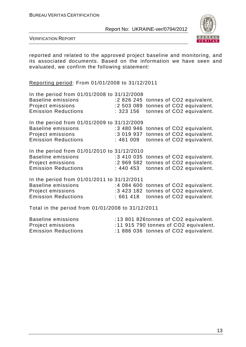

VERIFICATION REPORT

reported and related to the approved project baseline and monitoring, and its associated documents. Based on the information we have seen and evaluated, we confirm the following statement:

Reporting period: From 01/01/2008 to 31/12/2011

| In the period from 01/01/2008 to 31/12/2008<br><b>Baseline emissions</b><br>Project emissions<br><b>Emission Reductions</b> | :2 826 245 tonnes of CO2 equivalent.<br>:2 503 089 tonnes of CO2 equivalent.<br>: 323156 |  | tonnes of CO2 equivalent. |  |
|-----------------------------------------------------------------------------------------------------------------------------|------------------------------------------------------------------------------------------|--|---------------------------|--|
| In the period from 01/01/2009 to 31/12/2009<br><b>Baseline emissions</b><br>Project emissions<br><b>Emission Reductions</b> | :3 480 946 tonnes of CO2 equivalent.<br>:3 019 937 tonnes of CO2 equivalent.<br>:461 009 |  | tonnes of CO2 equivalent. |  |
| In the period from 01/01/2010 to 31/12/2010<br><b>Baseline emissions</b><br>Project emissions<br><b>Emission Reductions</b> | :3 410 035 tonnes of CO2 equivalent.<br>:2 969 582 tonnes of CO2 equivalent.<br>:440 453 |  | tonnes of CO2 equivalent. |  |
| In the period from 01/01/2011 to 31/12/2011<br><b>Baseline emissions</b><br>Project emissions<br><b>Emission Reductions</b> | :4 084 600 tonnes of CO2 equivalent.<br>:3 423 182 tonnes of CO2 equivalent.<br>:661 418 |  | tonnes of CO2 equivalent. |  |
| Total in the period from 01/01/2008 to 31/12/2011                                                                           |                                                                                          |  |                           |  |
| <b>Baseline emissions</b><br>Project emissions                                                                              | :13 801 826 tonnes of CO2 equivalent.<br>:11 915 790 tonnes of CO2 equivalent.           |  |                           |  |

Emission Reductions : 1886 036 tonnes of CO2 equivalent.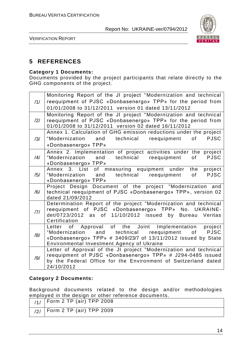

VERIFICATION REPORT

## **5 REFERENCES**

#### **Category 1 Documents:**

Documents provided by the project participants that relate directly to the GHG components of the project.

| /1/            | Monitoring Report of the JI project "Modernization and technical<br>reequipment of PJSC «Donbasenergo» TPP» for the period from<br>01/01/2008 to 31/12/2011 version 01 dated 13/11/2012                                                                                                                                                                                                  |
|----------------|------------------------------------------------------------------------------------------------------------------------------------------------------------------------------------------------------------------------------------------------------------------------------------------------------------------------------------------------------------------------------------------|
| $\frac{12}{1}$ | Monitoring Report of the JI project "Modernization and technical<br>reequipment of PJSC «Donbasenergo» TPP» for the period from<br>01/01/2008 to 31/12/2011 version 02 dated 16/11/2012                                                                                                                                                                                                  |
| /3/            | Annex 1. Calculation of GHG emission reductions under the project<br>"Modernization and technical reequipment<br>of the control of the control of the control of the control of the control of the control of the control of th<br>Separate control of the control of the control of the control of the control of the control of the control of t<br><b>PJSC</b><br>«Donbasenergo» TPP» |
| $\frac{14}{1}$ | Annex 2. Implementation of project activities under the project<br>"Modernization and technical reequipment<br>of l<br><b>PJSC</b><br>«Donbasenergo» TPP»                                                                                                                                                                                                                                |
| /5/            | Annex 3. List of measuring equipment under<br>project<br>the<br>"Modernization and technical reequipment<br><b>PJSC</b><br>of<br>«Donbasenergo» TPP»                                                                                                                                                                                                                                     |
| /6/            | Project Design Document of the project "Modernization and<br>technical reequipment of PJSC «Donbasenergo» TPP», version 02<br>dated 21/09/2012                                                                                                                                                                                                                                           |
| 7              | Determination Report of the project "Modernization and technical<br>reequipment of PJSC «Donbasenergo» TPP» No. UKRAINE-<br>det/0723/2012 as of 11/10/2012 issued by<br>Bureau Veritas<br>Certification                                                                                                                                                                                  |
| /8/            | Approval of the Joint Implementation<br>project<br>Letter<br>of<br>and technical reequipment<br>of PJSC<br>"Modernization<br>«Donbasenergo» TPP» # 3409/23/7 of 13/11/2012 issued by State<br>Environmental Investment Agency of Ukraine                                                                                                                                                 |
| /9/            | Letter of Approval of the JI project "Modernization and technical<br>reequipment of PJSC «Donbasenergo» TPP» # J294-0485 issued<br>by the Federal Office for the Environment of Switzerland dated<br>24/10/2012                                                                                                                                                                          |

#### **Category 2 Documents:**

Background documents related to the design and/or methodologies employed in the design or other reference documents.

| $\frac{1}{11}$   Form 2 TP (air) TPP 2008 |
|-------------------------------------------|
| $^{+}$ /2/   Form 2 TP (air) TPP 2009     |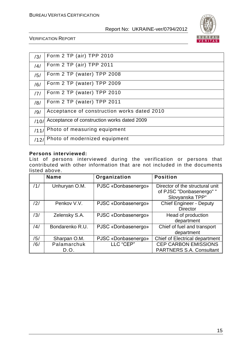

#### VERIFICATION REPORT

| /3/  | Form 2 TP (air) TPP 2010                    |
|------|---------------------------------------------|
| /4/  | Form 2 TP (air) TPP 2011                    |
| /5/  | Form 2 TP (water) TPP 2008                  |
| /6/  | Form 2 TP (water) TPP 2009                  |
| /7/  | Form 2 TP (water) TPP 2010                  |
| /8/  | Form 2 TP (water) TPP 2011                  |
| /9/  | Acceptance of construction works dated 2010 |
| /10/ | Acceptance of construction works dated 2009 |
| /11/ | Photo of measuring equipment                |
| /12/ | Photo of modernized equipment               |

#### **Persons interviewed:**

List of persons interviewed during the verification or persons that contributed with other information that are not included in the documents listed above.

|     | <b>Name</b>     | Organization        | <b>Position</b>                                                                |
|-----|-----------------|---------------------|--------------------------------------------------------------------------------|
| /1/ | Unhuryan O.M.   | PJSC «Donbasenergo» | Director of the structural unit<br>of PJSC "Donbasenergo" "<br>Slovyanska TPP" |
| /2/ | Penkov V.V.     | PJSC «Donbasenergo» | <b>Chief Engineer - Deputy</b><br><b>Director</b>                              |
| /3/ | Zelensky S.A.   | PJSC «Donbasenergo» | Head of production<br>department                                               |
| /4/ | Bondarenko R.U. | PJSC «Donbasenergo» | Chief of fuel and transport<br>department                                      |
| /5/ | Sharpan O.M.    | PJSC «Donbasenergo» | Chief of Electrical department                                                 |
| /6/ | Palamarchuk     | LLC "CEP"           | <b>CEP CARBON EMISSIONS</b>                                                    |
|     | D.O.            |                     | <b>PARTNERS S.A. Consultant</b>                                                |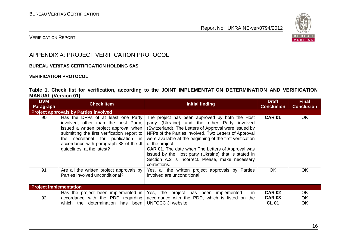

#### VERIFICATION REPORT

## APPENDIX A: PROJECT VERIFICATION PROTOCOL

#### **BUREAU VERITAS CERTIFICATION HOLDING SAS**

#### **VERIFICATION PROTOCOL**

#### **Table 1. Check list for verification, according to the JOINT IMPLEMENTATION DETERMINATION AND VERIFICATION MANUAL (Version 01)**

| <b>DVM</b><br><b>Paragraph</b>               | <b>Check Item</b>                                                                                                                                                                                                                                                                    | Initial finding                                                                                                                                                                                                                                                                                                                                                                                                                                                                          | <b>Draft</b><br><b>Conclusion</b>              | <b>Final</b><br><b>Conclusion</b> |
|----------------------------------------------|--------------------------------------------------------------------------------------------------------------------------------------------------------------------------------------------------------------------------------------------------------------------------------------|------------------------------------------------------------------------------------------------------------------------------------------------------------------------------------------------------------------------------------------------------------------------------------------------------------------------------------------------------------------------------------------------------------------------------------------------------------------------------------------|------------------------------------------------|-----------------------------------|
| <b>Project approvals by Parties involved</b> |                                                                                                                                                                                                                                                                                      |                                                                                                                                                                                                                                                                                                                                                                                                                                                                                          |                                                |                                   |
| 90                                           | Has the DFPs of at least one Party<br>involved, other than the host Party,<br>issued a written project approval when<br>submitting the first verification report to<br>secretariat for publication in<br>the<br>accordance with paragraph 38 of the JI<br>guidelines, at the latest? | The project has been approved by both the Host<br>party (Ukraine) and the other Party involved<br>(Switzerland). The Letters of Approval were issued by<br>NFPs of the Parties involved. Two Letters of Approval<br>were available at the beginning of the first verification<br>of the project.<br><b>CAR 01.</b> The date when The Letters of Approval was<br>issued by the Host party (Ukraine) that is stated in<br>Section A.2 is incorrect. Please, make necessary<br>corrections. | <b>CAR 01</b>                                  | <b>OK</b>                         |
| 91                                           | Are all the written project approvals by<br>Parties involved unconditional?                                                                                                                                                                                                          | Yes, all the written project approvals by Parties<br>involved are unconditional.                                                                                                                                                                                                                                                                                                                                                                                                         | <b>OK</b>                                      | OK                                |
| <b>Project implementation</b>                |                                                                                                                                                                                                                                                                                      |                                                                                                                                                                                                                                                                                                                                                                                                                                                                                          |                                                |                                   |
| 92                                           | Has the project been implemented in<br>accordance with the PDD regarding<br>determination has been<br>which the                                                                                                                                                                      | in<br>Yes, the project has been implemented<br>accordance with the PDD, which is listed on the<br>UNFCCC JI website.                                                                                                                                                                                                                                                                                                                                                                     | <b>CAR 02</b><br><b>CAR 03</b><br><b>CL 01</b> | <b>OK</b><br><b>OK</b><br>OK      |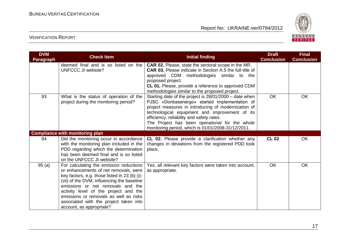

| <b>DVM</b><br><b>Paragraph</b> | <b>Check Item</b>                                                                                                                                                                                                                                                                                                                                                             | <b>Initial finding</b>                                                                                                                                                                                                                                                                                                                                                | <b>Draft</b><br><b>Conclusion</b> | <b>Final</b><br><b>Conclusion</b> |
|--------------------------------|-------------------------------------------------------------------------------------------------------------------------------------------------------------------------------------------------------------------------------------------------------------------------------------------------------------------------------------------------------------------------------|-----------------------------------------------------------------------------------------------------------------------------------------------------------------------------------------------------------------------------------------------------------------------------------------------------------------------------------------------------------------------|-----------------------------------|-----------------------------------|
|                                | deemed final and is so listed on the<br><b>UNFCCC JI website?</b>                                                                                                                                                                                                                                                                                                             | <b>CAR 02.</b> Please, state the sectoral scope in the MR.<br><b>CAR 03.</b> Please indicate in Section A.5 the full title of<br>approved CDM methodologies similar to the<br>proposed project.<br>CL 01. Please, provide a reference to approved CDM<br>methodologies similar to the proposed project.                                                               |                                   |                                   |
| 93                             | What is the status of operation of the<br>project during the monitoring period?                                                                                                                                                                                                                                                                                               | Starting date of the project is 28/01/2000 – date when<br>PJSC «Donbasenergo» started implementation of<br>project measures in introducing of modernization of<br>technological equipment and improvement of its<br>efficiency, reliability and safety rates.<br>The Project has been operational for the whole<br>monitoring period, which is 01/01/2008-31/12/2011. | <b>OK</b>                         | <b>OK</b>                         |
|                                | <b>Compliance with monitoring plan</b>                                                                                                                                                                                                                                                                                                                                        |                                                                                                                                                                                                                                                                                                                                                                       |                                   |                                   |
| 94                             | Did the monitoring occur in accordance<br>with the monitoring plan included in the<br>PDD regarding which the determination<br>has been deemed final and is so listed<br>on the UNFCCC JI website?                                                                                                                                                                            | CL 02. Please provide a clarification whether any<br>changes in deviations from the registered PDD took<br>place.                                                                                                                                                                                                                                                     | <b>CL 02</b>                      | <b>OK</b>                         |
| 95(a)                          | For calculating the emission reductions<br>or enhancements of net removals, were<br>key factors, e.g. those listed in 23 (b) (i)-<br>(vii) of the DVM, influencing the baseline<br>emissions or net removals and the<br>activity level of the project and the<br>emissions or removals as well as risks<br>associated with the project taken into<br>account, as appropriate? | Yes, all relevant key factors were taken into account,<br>as appropriate.                                                                                                                                                                                                                                                                                             | <b>OK</b>                         | <b>OK</b>                         |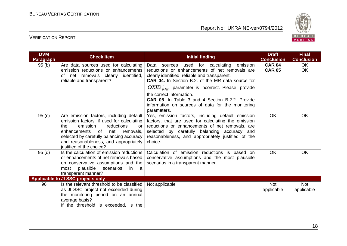

| <b>DVM</b><br><b>Paragraph</b> | <b>Check Item</b>                                                                                                                                                                                                                                                                             | Initial finding                                                                                                                                                                                                                                                                                                                                                                                                                       | <b>Draft</b><br><b>Conclusion</b> | <b>Final</b><br><b>Conclusion</b> |
|--------------------------------|-----------------------------------------------------------------------------------------------------------------------------------------------------------------------------------------------------------------------------------------------------------------------------------------------|---------------------------------------------------------------------------------------------------------------------------------------------------------------------------------------------------------------------------------------------------------------------------------------------------------------------------------------------------------------------------------------------------------------------------------------|-----------------------------------|-----------------------------------|
| 95(b)                          | Are data sources used for calculating<br>emission reductions or enhancements<br>net removals clearly<br>identified,<br>οf<br>reliable and transparent?                                                                                                                                        | used for calculating<br>emission<br>Data<br>sources<br>reductions or enhancements of net removals are<br>clearly identified, reliable and transparent.<br>CAR 04. In Section B.2. of the MR data source for<br>$OXID_{p, tpp, i}^y$ parameter is incorrect. Please, provide<br>the correct information.<br><b>CAR 05.</b> In Table 3 and 4 Section B.2.2. Provide<br>information on sources of data for the monitoring<br>parameters. | <b>CAR 04</b><br><b>CAR 05</b>    | <b>OK</b><br><b>OK</b>            |
| 95(c)                          | Are emission factors, including default<br>emission factors, if used for calculating<br>emission<br>reductions<br>the<br>or<br><b>of</b><br>enhancements<br>net<br>removals.<br>selected by carefully balancing accuracy<br>and reasonableness, and appropriately<br>justified of the choice? | Yes, emission factors, including default emission<br>factors, that are used for calculating the emission<br>reductions or enhancements of net removals, are<br>selected by carefully balancing accuracy and<br>reasonableness, and appropriately justified of the<br>choice.                                                                                                                                                          | <b>OK</b>                         | <b>OK</b>                         |
| 95(d)                          | Is the calculation of emission reductions<br>or enhancements of net removals based<br>on conservative assumptions and the<br>plausible scenarios<br>in<br>most<br>a -<br>transparent manner?                                                                                                  | Calculation of emission reductions is based on<br>conservative assumptions and the most plausible<br>scenarios in a transparent manner.                                                                                                                                                                                                                                                                                               | <b>OK</b>                         | <b>OK</b>                         |
|                                | Applicable to JI SSC projects only                                                                                                                                                                                                                                                            |                                                                                                                                                                                                                                                                                                                                                                                                                                       |                                   |                                   |
| 96                             | Is the relevant threshold to be classified<br>as JI SSC project not exceeded during<br>the monitoring period on an annual<br>average basis?<br>If the threshold is exceeded, is the                                                                                                           | Not applicable                                                                                                                                                                                                                                                                                                                                                                                                                        | <b>Not</b><br>applicable          | <b>Not</b><br>applicable          |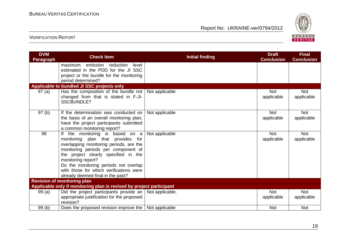

| <b>DVM</b><br><b>Paragraph</b> | <b>Check Item</b>                                                                                                                                                                                                                                                                                                                             | <b>Initial finding</b> | <b>Draft</b><br><b>Conclusion</b> | <b>Final</b><br><b>Conclusion</b> |
|--------------------------------|-----------------------------------------------------------------------------------------------------------------------------------------------------------------------------------------------------------------------------------------------------------------------------------------------------------------------------------------------|------------------------|-----------------------------------|-----------------------------------|
|                                | emission reduction<br>level<br>maximum<br>estimated in the PDD for the JI SSC<br>project or the bundle for the monitoring<br>period determined?                                                                                                                                                                                               |                        |                                   |                                   |
|                                | Applicable to bundled JI SSC projects only                                                                                                                                                                                                                                                                                                    |                        |                                   |                                   |
| 97(a)                          | Has the composition of the bundle not<br>changed from that is stated in F-JI-<br><b>SSCBUNDLE?</b>                                                                                                                                                                                                                                            | Not applicable         | <b>Not</b><br>applicable          | <b>Not</b><br>applicable          |
| 97(b)                          | If the determination was conducted on<br>the basis of an overall monitoring plan,<br>have the project participants submitted<br>a common monitoring report?                                                                                                                                                                                   | Not applicable         | <b>Not</b><br>applicable          | <b>Not</b><br>applicable          |
| 98                             | If the monitoring is based on a<br>monitoring plan that provides for<br>overlapping monitoring periods, are the<br>monitoring periods per component of<br>the project clearly specified in the<br>monitoring report?<br>Do the monitoring periods not overlap<br>with those for which verifications were<br>already deemed final in the past? | Not applicable         | <b>Not</b><br>applicable          | <b>Not</b><br>applicable          |
|                                | <b>Revision of monitoring plan</b>                                                                                                                                                                                                                                                                                                            |                        |                                   |                                   |
|                                | Applicable only if monitoring plan is revised by project participant                                                                                                                                                                                                                                                                          |                        |                                   |                                   |
| 99(a)                          | Did the project participants provide an $\vert$<br>appropriate justification for the proposed<br>revision?                                                                                                                                                                                                                                    | Not applicable.        | <b>Not</b><br>applicable          | Not<br>applicable                 |
| 99(b)                          | Does the proposed revision improve the                                                                                                                                                                                                                                                                                                        | Not applicable         | <b>Not</b>                        | <b>Not</b>                        |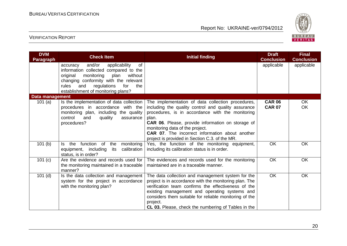

| <b>DVM</b><br><b>Paragraph</b> | <b>Check Item</b>                                                                                                                                                                                                                                           | <b>Initial finding</b>                                                                                                                                                                                                                                                                                                                                                           | <b>Draft</b><br><b>Conclusion</b> | <b>Final</b><br><b>Conclusion</b> |
|--------------------------------|-------------------------------------------------------------------------------------------------------------------------------------------------------------------------------------------------------------------------------------------------------------|----------------------------------------------------------------------------------------------------------------------------------------------------------------------------------------------------------------------------------------------------------------------------------------------------------------------------------------------------------------------------------|-----------------------------------|-----------------------------------|
|                                | and/or<br>applicability<br>of<br>accuracy<br>information collected compared to the<br>original<br>monitoring<br>plan<br>without<br>changing conformity with the relevant<br>rules<br>regulations<br>for<br>and<br>the<br>establishment of monitoring plans? |                                                                                                                                                                                                                                                                                                                                                                                  | applicable                        | applicable                        |
| Data management                |                                                                                                                                                                                                                                                             |                                                                                                                                                                                                                                                                                                                                                                                  |                                   |                                   |
| 101 $(a)$                      | Is the implementation of data collection<br>procedures in accordance with the<br>monitoring plan, including the quality<br>control<br>and<br>quality<br>assurance<br>procedures?                                                                            | The implementation of data collection procedures,<br>including the quality control and quality assurance<br>procedures, is in accordance with the monitoring<br>plan.<br><b>CAR 06.</b> Please, provide information on storage of<br>monitoring data of the project.<br><b>CAR 07.</b> The incorrect information about another<br>project is provided in Section C.3. of the MR. | <b>CAR 06</b><br><b>CAR 07</b>    | OK.<br>OK                         |
| 101(b)                         | function of<br>monitoring<br>the<br>the<br>ls.<br>equipment, including<br>calibration<br>its<br>status, is in order?                                                                                                                                        | Yes, the function of the monitoring equipment,<br>including its calibration status is in order.                                                                                                                                                                                                                                                                                  | OK                                | OK                                |
| 101 (c)                        | Are the evidence and records used for<br>the monitoring maintained in a traceable<br>manner?                                                                                                                                                                | The evidences and records used for the monitoring<br>maintained are in a traceable manner.                                                                                                                                                                                                                                                                                       | OK                                | OK                                |
| $101$ (d)                      | Is the data collection and management<br>system for the project in accordance<br>with the monitoring plan?                                                                                                                                                  | The data collection and management system for the<br>project is in accordance with the monitoring plan. The<br>verification team confirms the effectiveness of the<br>existing management and operating systems and<br>considers them suitable for reliable monitoring of the<br>project.<br>CL 03. Please, check the numbering of Tables in the                                 | OK                                | OK                                |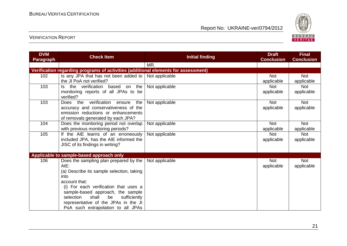

| <b>DVM</b>                                                                         | <b>Check Item</b>                                            | <b>Initial finding</b> | <b>Draft</b>      | <b>Final</b>      |  |  |
|------------------------------------------------------------------------------------|--------------------------------------------------------------|------------------------|-------------------|-------------------|--|--|
| <b>Paragraph</b>                                                                   |                                                              |                        | <b>Conclusion</b> | <b>Conclusion</b> |  |  |
|                                                                                    |                                                              | MR.                    |                   |                   |  |  |
| Verification regarding programs of activities (additional elements for assessment) |                                                              |                        |                   |                   |  |  |
| 102                                                                                | Is any JPA that has not been added to $\vert$ Not applicable |                        | <b>Not</b>        | <b>Not</b>        |  |  |
|                                                                                    | the JI PoA not verified?                                     |                        | applicable        | applicable        |  |  |
| 103                                                                                | verification<br>based on<br>the<br>the<br>ls.                | Not applicable         | <b>Not</b>        | <b>Not</b>        |  |  |
|                                                                                    | monitoring reports of all JPAs to be                         |                        | applicable        | applicable        |  |  |
|                                                                                    | verified?                                                    |                        |                   |                   |  |  |
| 103                                                                                | verification<br>Does the<br>the<br>ensure                    | Not applicable         | <b>Not</b>        | <b>Not</b>        |  |  |
|                                                                                    | accuracy and conservativeness of the                         |                        | applicable        | applicable        |  |  |
|                                                                                    | emission reductions or enhancements                          |                        |                   |                   |  |  |
|                                                                                    | of removals generated by each JPA?                           |                        |                   |                   |  |  |
| 104                                                                                | Does the monitoring period not overlap                       | Not applicable         | <b>Not</b>        | <b>Not</b>        |  |  |
|                                                                                    | with previous monitoring periods?                            |                        | applicable        | applicable        |  |  |
| 105                                                                                | If the AIE learns of an erroneously                          | Not applicable         | <b>Not</b>        | <b>Not</b>        |  |  |
|                                                                                    | included JPA, has the AIE informed the                       |                        | applicable        | applicable        |  |  |
|                                                                                    | JISC of its findings in writing?                             |                        |                   |                   |  |  |
|                                                                                    |                                                              |                        |                   |                   |  |  |
|                                                                                    | Applicable to sample-based approach only                     |                        |                   |                   |  |  |
| 106                                                                                | Does the sampling plan prepared by the                       | Not applicable         | <b>Not</b>        | <b>Not</b>        |  |  |
|                                                                                    | $AIE$ :                                                      |                        | applicable        | applicable        |  |  |
|                                                                                    | (a) Describe its sample selection, taking                    |                        |                   |                   |  |  |
|                                                                                    | into                                                         |                        |                   |                   |  |  |
|                                                                                    | account that:                                                |                        |                   |                   |  |  |
|                                                                                    | (i) For each verification that uses a                        |                        |                   |                   |  |  |
|                                                                                    | sample-based approach, the sample                            |                        |                   |                   |  |  |
|                                                                                    | selection<br>shall<br>be<br>sufficiently                     |                        |                   |                   |  |  |
|                                                                                    | representative of the JPAs in the JI                         |                        |                   |                   |  |  |
|                                                                                    | PoA such extrapolation to all JPAs                           |                        |                   |                   |  |  |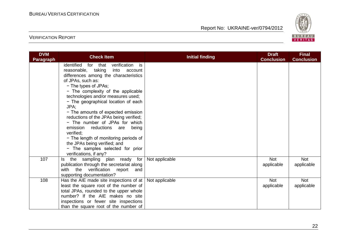

| <b>DVM</b><br><b>Paragraph</b> | <b>Check Item</b>                                                                       | <b>Initial finding</b> | <b>Draft</b><br><b>Conclusion</b> | <b>Final</b><br><b>Conclusion</b> |
|--------------------------------|-----------------------------------------------------------------------------------------|------------------------|-----------------------------------|-----------------------------------|
|                                | identified<br>for that<br>verification<br>is i<br>reasonable, taking<br>into<br>account |                        |                                   |                                   |
|                                | differences among the characteristics                                                   |                        |                                   |                                   |
|                                | of JPAs, such as:                                                                       |                        |                                   |                                   |
|                                | - The types of JPAs;                                                                    |                        |                                   |                                   |
|                                | - The complexity of the applicable                                                      |                        |                                   |                                   |
|                                | technologies and/or measures used;                                                      |                        |                                   |                                   |
|                                | - The geographical location of each<br>JPA;                                             |                        |                                   |                                   |
|                                | - The amounts of expected emission                                                      |                        |                                   |                                   |
|                                | reductions of the JPAs being verified;                                                  |                        |                                   |                                   |
|                                | - The number of JPAs for which                                                          |                        |                                   |                                   |
|                                | emission<br>reductions are<br>being                                                     |                        |                                   |                                   |
|                                | verified:                                                                               |                        |                                   |                                   |
|                                | - The length of monitoring periods of                                                   |                        |                                   |                                   |
|                                | the JPAs being verified; and                                                            |                        |                                   |                                   |
|                                | - The samples selected for prior                                                        |                        |                                   |                                   |
| 107                            | verifications, if any?                                                                  | Not applicable         | <b>Not</b>                        | <b>Not</b>                        |
|                                | the sampling plan ready for<br>ls.<br>publication through the secretariat along         |                        | applicable                        | applicable                        |
|                                | verification report<br>with the<br>and                                                  |                        |                                   |                                   |
|                                | supporting documentation?                                                               |                        |                                   |                                   |
| 108                            | Has the AIE made site inspections of at $ $                                             | Not applicable         | <b>Not</b>                        | <b>Not</b>                        |
|                                | least the square root of the number of                                                  |                        | applicable                        | applicable                        |
|                                | total JPAs, rounded to the upper whole                                                  |                        |                                   |                                   |
|                                | number? If the AIE makes no site                                                        |                        |                                   |                                   |
|                                | inspections or fewer site inspections                                                   |                        |                                   |                                   |
|                                | than the square root of the number of                                                   |                        |                                   |                                   |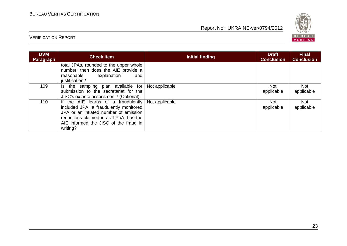

| <b>DVM</b><br>Paragraph | <b>Check Item</b>                                                                                                                                                                                                      | Initial finding | <b>Draft</b><br><b>Conclusion</b> | <b>Final</b><br><b>Conclusion</b> |
|-------------------------|------------------------------------------------------------------------------------------------------------------------------------------------------------------------------------------------------------------------|-----------------|-----------------------------------|-----------------------------------|
|                         | total JPAs, rounded to the upper whole<br>number, then does the AIE provide a<br>explanation<br>reasonable<br>and<br>justification?                                                                                    |                 |                                   |                                   |
| 109                     | Is the sampling plan available for<br>submission to the secretariat for the<br>JISC's ex ante assessment? (Optional)                                                                                                   | Not applicable  | Not<br>applicable                 | <b>Not</b><br>applicable          |
| 110                     | If the AIE learns of a fraudulently<br>included JPA, a fraudulently monitored<br>JPA or an inflated number of emission<br>reductions claimed in a JI PoA, has the<br>AIE informed the JISC of the fraud in<br>writing? | Not applicable  | Not<br>applicable                 | Not<br>applicable                 |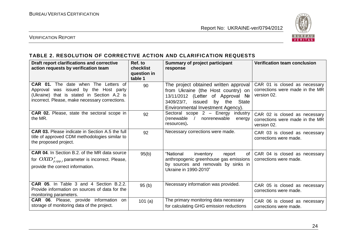

#### VERIFICATION REPORT

#### **TABLE 2. RESOLUTION OF CORRECTIVE ACTION AND CLARIFICATION REQUESTS**

| Draft report clarifications and corrective<br>action requests by verification team                                                                                               | Ref. to<br><b>checklist</b><br>question in<br>table 1 | <b>Summary of project participant</b><br>response                                                                                                                                       | <b>Verification team conclusion</b>                                             |
|----------------------------------------------------------------------------------------------------------------------------------------------------------------------------------|-------------------------------------------------------|-----------------------------------------------------------------------------------------------------------------------------------------------------------------------------------------|---------------------------------------------------------------------------------|
| CAR 01. The date when The Letters of<br>was issued by the Host party<br>Approval<br>(Ukraine) that is stated in Section A.2 is<br>incorrect. Please, make necessary corrections. | 90                                                    | The project obtained written approval<br>from Ukraine (the Host country) on<br>13/11/2012 (Letter of Approval Nº<br>3409/23/7, issued by the State<br>Environmental Investment Agency). | CAR 01 is closed as necessary<br>corrections were made in the MR<br>version 02. |
| <b>CAR 02.</b> Please, state the sectoral scope in<br>the MR.                                                                                                                    | 92                                                    | Sectoral scope 2 - Energy industry<br>(renewable / nonrenewable<br>energy<br>resources).                                                                                                | CAR 02 is closed as necessary<br>corrections were made in the MR<br>version 02. |
| <b>CAR 03.</b> Please indicate in Section A.5 the full<br>title of approved CDM methodologies similar to<br>the proposed project.                                                | 92                                                    | Necessary corrections were made.                                                                                                                                                        | CAR 03 is closed as necessary<br>corrections were made.                         |
| <b>CAR 04.</b> In Section B.2. of the MR data source<br>for $OXID_{p, tpp, i}^y$ parameter is incorrect. Please,<br>provide the correct information.                             | 95(b)                                                 | "National<br>inventory<br>report<br>of I<br>anthropogenic greenhouse gas emissions<br>by sources and removals by sinks in<br>Ukraine in 1990-2010"                                      | CAR 04 is closed as necessary<br>corrections were made.                         |
| CAR 05. In Table 3 and 4 Section B.2.2.<br>Provide information on sources of data for the<br>monitoring parameters.                                                              | 95(b)                                                 | Necessary information was provided.                                                                                                                                                     | CAR 05 is closed as necessary<br>corrections were made.                         |
| CAR 06. Please, provide information on<br>storage of monitoring data of the project.                                                                                             | 101 $(a)$                                             | The primary monitoring data necessary<br>for calculating GHG emission reductions                                                                                                        | CAR 06 is closed as necessary<br>corrections were made.                         |